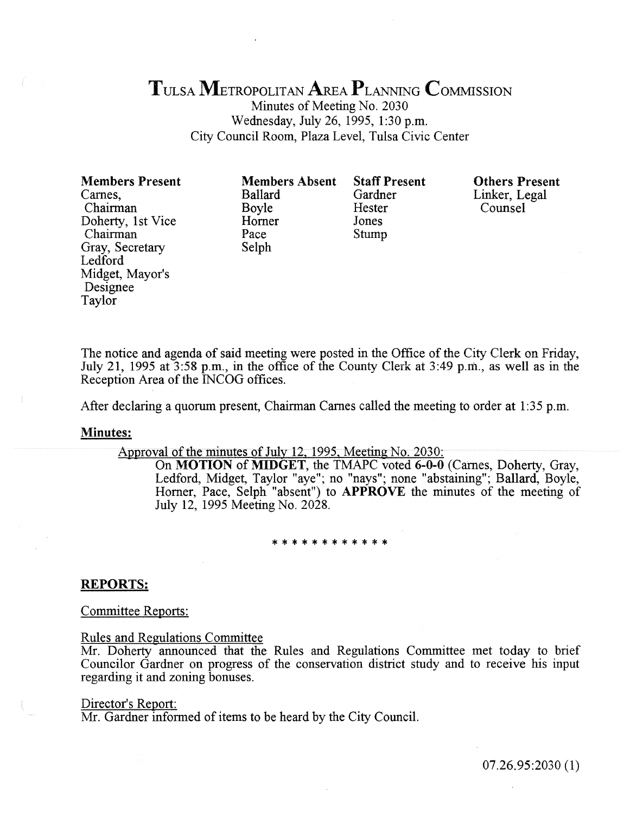# TULsA METROPOLITAN AREA PLANNING CoMMISSION

Minutes of Meeting No. 2030 Wednesday, July 26, 1995, 1:30 p.m. City Council Room, Plaza Level, Tulsa Civic Center

Members Present Carnes, Chairman Doherty, 1st Vice Chairman Gray, Secretary Ledford Midget, Mayor's Designee Taylor

Members Absent Ballard Boyle Homer Pace Selph

Staff Present Gardner Hester Jones Stump

Others Present Linker, Legal Counsel

The notice and agenda of said meeting were posted in the Office of the City Clerk on Friday, July 21, 1995 at  $3:58$  p.m., in the office of the County Clerk at  $3:49$  p.m., as well as in the Reception Area of the INCOG offices.

After declaring a quorum present, Chairman Carnes called the meeting to order at 1:35 p.m.

#### Minutes:

Approval of the minutes of July 12, 1995, Meeting No.  $2030$ :

On MOTION of MIDGET, the TMAPC voted 6-0-0 (Carnes, Doherty, Gray, Ledford, Midget, Taylor "aye"; no "nays"; none "abstaining"; Ballard, Boyle, Horner, Pace, Selph "absent") to **APPROVE** the minutes of the meeting of July 12, 1995 Meeting No. 2028.

# \*\*\*\*\*\*\*\*\*\*\*\*

#### REPORTS:

Committee Reports:

Rules and Regulations Committee

Mr. Doherty announced that the Rules and Regulations Committee met today to brief Councilor Gardner on progress of the conservation district study and to receive his input regarding it and zoning bonuses.

#### Director's Report:

Mr. Gardner informed of items to be heard by the City Council.

07.26.95:2030 (1)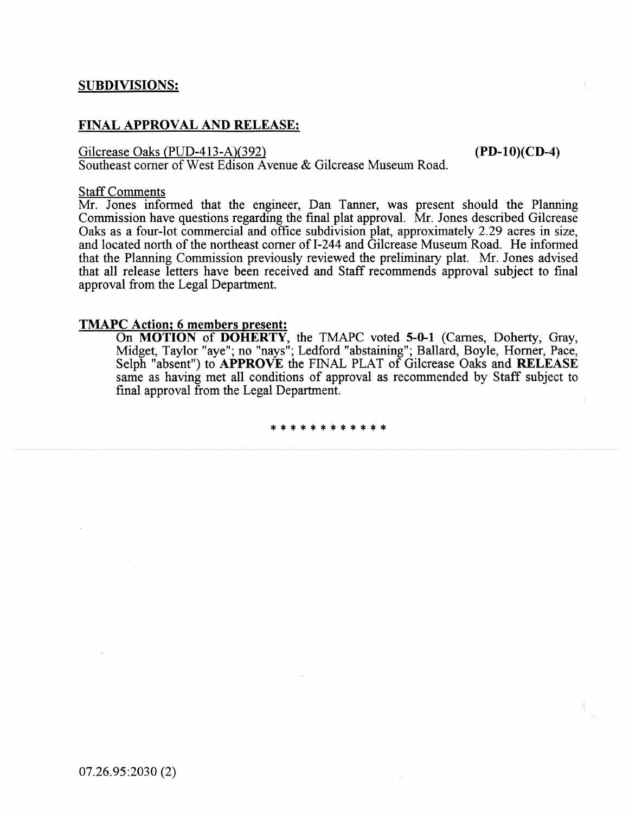## FINAL APPROVAL AND RELEASE:

Gilcrease Oaks (PUD-413-A)(392) (PD-10)(CD-4)

Southeast corner of West Edison Avenue & Gilcrease Museum Road.

#### Staff Comments

Mr. Jones informed that the engineer, Dan Tanner, was present should the Planning Commission have questions regarding the fmal plat approval. Mr. Jones described Gilcrease Oaks as a four-lot commercial and office subdivision plat, approximately 2.29 acres in size, and located north of the northeast corner of I-244 and Gilcrease Museum Road. He informed that the Planning Commission previously reviewed the preliminary plat. Mr. Jones advised that all release letters have been received and Staff recommends approval subject to fmal approval from the Legal Department.

### TMAPC Action; 6 members present:

On MOTION of DOHERTY, the TMAPC voted 5-0-1 (Carnes, Doherty, Gray, Midget, Taylor "aye"; no "nays"; Ledford "abstaining"; Ballard, Boyle, Homer, Pace, Selph "absent") to APPROVE the FINAL PLAT of Gilcrease Oaks and RELEASE same as having met all conditions of approval as recommended by Staff subject to fmal approval from the Legal Department.

\*\*\*\*\*\*\*\*\*\*\*\*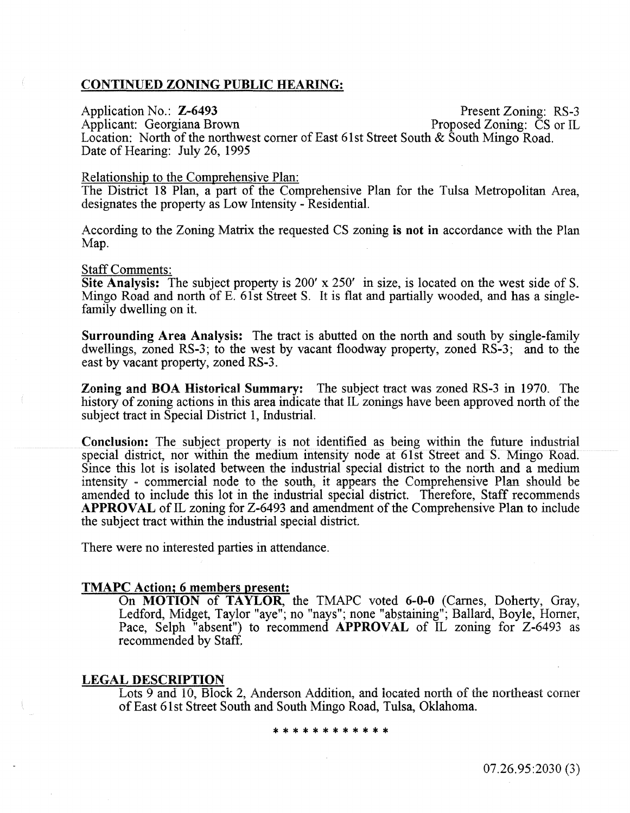#### CONTINUED ZONING PUBLIC HEARING:

Applicant: Georgiana Brown

Application No.: **Z-6493** Present Zoning: RS-3<br>
Applicant: Georgiana Brown Proposed Zoning: CS or IL

Location: North of the northwest corner of East 61st Street South & South Mingo Road. Date of Hearing: July 26, 1995

#### Relationship to the Comprehensive Plan:

The District 18 Plan, a part of the Comprehensive Plan for the Tulsa Metropolitan Area, designates the property as Low Intensity - Residential.

According to the Zoning Matrix the requested CS zoning is not in accordance with the Plan Map.

#### Staff Comments:

Site Analysis: The subject property is 200' x 250' in size, is located on the west side of S. Mingo Road and north of E. 61st Street S. It is flat and partially wooded, and has a singlefamily dwelling on it.

Surrounding Area Analysis: The tract is abutted on the north and south by single-family dwellings, zoned RS-3; to the west by vacant floodway property, zoned RS-3; and to the east by vacant property, zoned RS-3.

Zoning and BOA Historical Summary: The subject tract was zoned RS-3 in 1970. The history of zoning actions in this area indicate that IL zonings have been approved north of the subject tract in Special District 1, Industrial.

Conclusion: The subject property is not identified as being within the future industrial special district, nor within the medium intensity node at 61st Street and S. Mingo Road. Since this lot is isolated between the industrial special district to the north and a medium intensity - commercial node to the south, it appears the Comprehensive Plan should be amended to include this lot in the industrial special district. Therefore, Staff recommends APPROVAL of IL zoning for Z-6493 and amendment of the Comprehensive Plan to include the subject tract within the industrial special district.

There were no interested parties in attendance.

#### TMAPC Action; 6 members present:

On MOTION of TAYLOR, the TMAPC voted 6-0-0 (Carnes, Doherty, Gray, Ledford, Midget, Taylor "aye"; no "nays"; none "abstaining"; Ballard, Boyle, Horner, Pace, Selph "absent") to recommend APPROVAL of IL zoning for Z-6493 as recommended by Staff.

#### LEGAL DESCRIPTION

Lots 9 and 10, Block 2, Anderson Addition, and located north of the northeast corner of East 61st Street South and South Mingo Road, Tulsa, Oklahoma.

\*\*\*\*\*\*\*\*\*\*\*\*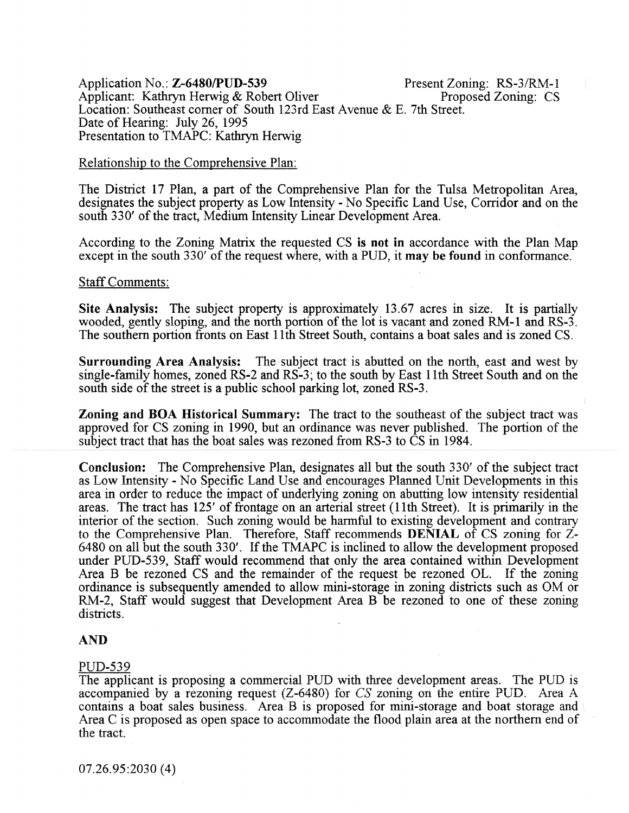Application No.: **Z-6480/PUD-539** Present Zoning: RS-3/RM-1<br>Applicant: Kathryn Herwig & Robert Oliver Proposed Zoning: CS Applicant: Kathryn Herwig & Robert Oliver Location: Southeast comer of South 123rd East Avenue & E. 7th Street. Date of Hearing: July 26, 1995 Presentation to TMAPC: Kathryn Herwig

#### **Relationship to the Comprehensive Plan:**

The District 17 Plan, a part of the Comprehensive Plan for the Tulsa Metropolitan Area, designates the subject property as Low Intensity- No Specific Land Use, Corridor and on the south 330' of the tract, Medium Intensity Linear Development Area.

According to the Zoning Matrix the requested CS is not in accordance with the Plan Map except in the south 330' of the request where, with a PUD, it may be found in conformance.

#### Staff Comments:

Site Analysis: The subject property is approximately 13.67 acres in size. It is partially wooded, gently sloping, and the north portion of the lot is vacant and zoned RM-1 and RS-3. The southern portion fronts on East 11th Street South, contains a boat sales and is zoned CS.

Surrounding Area Analysis: The subject tract is abutted on the north, east and west by single-family homes, zoned RS-2 and RS-3; to the south by East 11th Street South and on the south side of the street is a public school parking lot, zoned RS-3.

Zoning and BOA Historical Summary: The tract to the southeast of the subject tract was approved for CS zoning in 1990, but an ordinance was never published. The portion of the subject tract that has the boat sales was rezoned from RS-3 to  $\tilde{C}S$  in 1984.

Conclusion: The Comprehensive Plan. designates all but the south 330' of the subiect tract as Low Intensity - No Specific Land Use and encourages Planned Unit Developments in this area in order to reduce the impact of underlying zoning on abutting low intensity residential areas. The tract has 125' of frontage on an arterial street (11th Street). It is primarily in the interior of the section. Such zoning would be harmful to existing development and contrary to the Comprehensive Plan. Therefore, Staff recommends DENIAL of CS zoning for Z-6480 on all but the south 330'. If the TMAPC is inclined to allow the development proposed under PUD-539, Staff would recommend that only the area contained within Development Area B be rezoned CS and the remainder of the request be rezoned OL. If the zoning ordinance is subsequently amended to allow mini-storage in zoning districts such as OM or RM-2, Staff would suggest that Development Area B be rezoned to one of these zoning districts.

#### AND

#### PUD-539

The applicant is proposing a commercial PUD with three development areas. The PUD is accompanied by a rezoning request (Z-6480) for *CS* zoning on the entire PUD. Area A contains a boat sales business. Area B is proposed for mini-storage and boat storage and Area C is proposed as open space to accommodate the flood plain area at the northern end of the tract.

07.26.95:2030 (4)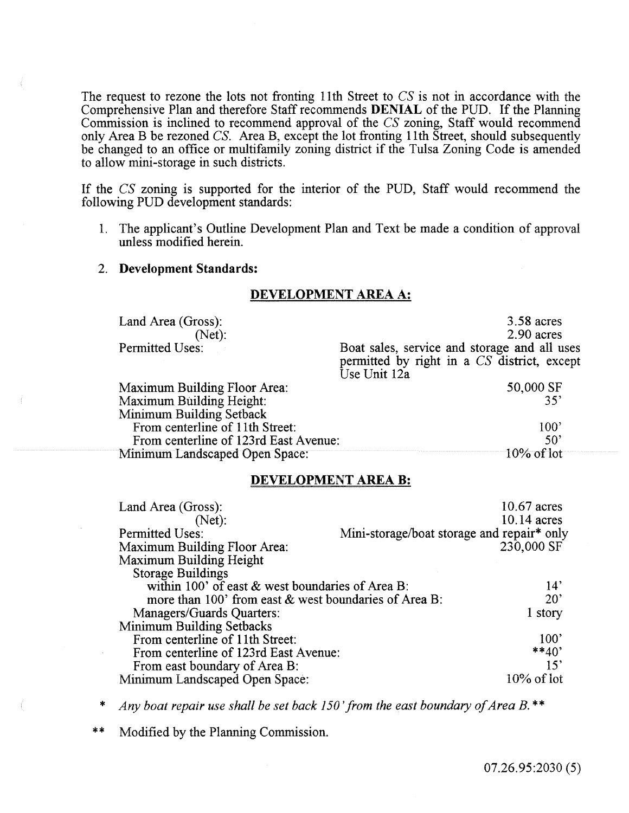The request to rezone the lots not fronting 11th Street to CS is not in accordance with the Comprehensive Plan and therefore Staff recommends DENIAL of the PUD. If the Planning Commission is inclined to recommend approval of the CS zoning, Staff would recommend only Area B be rezoned CS. Area B, except the lot fronting 11th Street, should subsequently be changed to an office or multifamily zoning district if the Tulsa Zoning Code is amended to allow mini-storage in such districts.

If the CS zoning is supported for the interior of the PUD, Staff would recommend the following PUD development standards:

1. The applicant's Outline Development Plan and Text be made a condition of approval unless modified herein.

#### 2. Development Standards:

#### Land Area (Gross): (Net): Permitted Uses: Maximum Building Floor Area: Maximum Building Height: Minimum Building Setback From centerline of 11th Street: From centerline of 123rd East Avenue: Minimum Landscaped Open Space: 3.58 acres 2.90 acres Boat sales, service and storage and all uses permitted by right in a CS district, except Use Unit 12a 50,000 SF 35' 100' 50' 10% of lot

#### DEVELOPMENT AREA A:

### DEVELOPMENT AREA B:

| Land Area (Gross):                                                    | 10.67 acres                                |
|-----------------------------------------------------------------------|--------------------------------------------|
| (Net):                                                                | 10.14 acres                                |
| <b>Permitted Uses:</b>                                                | Mini-storage/boat storage and repair* only |
| Maximum Building Floor Area:                                          | 230,000 SF                                 |
| <b>Maximum Building Height</b>                                        |                                            |
| <b>Storage Buildings</b>                                              |                                            |
| within 100' of east $&$ west boundaries of Area B:<br>14'             |                                            |
| $20^{\circ}$<br>more than 100' from east & west boundaries of Area B: |                                            |
| Managers/Guards Quarters:                                             | 1 story                                    |
| Minimum Building Setbacks                                             |                                            |
| From centerline of 11th Street:                                       | 100"                                       |
| From centerline of 123rd East Avenue:                                 | $**40'$                                    |
| From east boundary of Area B:                                         | 15'                                        |
| Minimum Landscaped Open Space:                                        | $10\%$ of lot                              |

- \* *Any boat repair use shall be set back 150 'from the east boundary of Area B.\*\**
- Modified by the Planning Commission.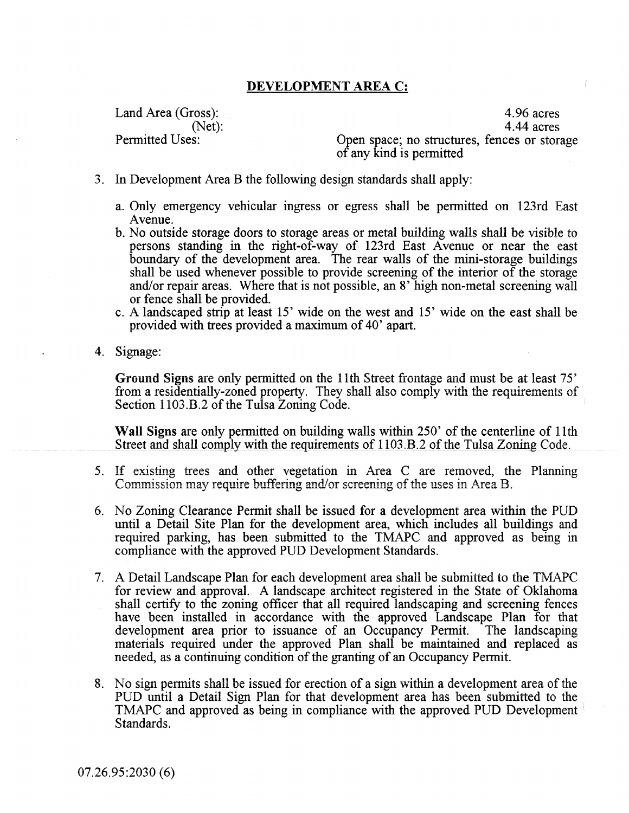## DEVELOPMENT AREA C:

Land Area (Gross): (Net): Permitted Uses:

4.96 acres 4.44 acres Open space; no structures, fences or storage of any kind is permitted

- 3. In Development Area B the following design standards shall apply:
	- a. Only emergency vehicular ingress or egress shall be permitted on 123rd East Avenue.
	- b. No outside storage doors to storage areas or metal building walls shall be visible to persons standing in the right-of-way of 123rd East Avenue or near the east boundary of the development area. The rear walls of the mini-storage buildings shall be used whenever possible to provide screening of the interior of the storage and/or repair areas. Where that is not possible, an 8' high non-metal screening wall or fence shall be provided.
	- c. A landscaped strip at least 15' wide on the west and 15' wide on the east shall be provided with trees provided a maximum of 40' apart.
- 4. Signage:

Ground Signs are only permitted on the 11th Street frontage and must be at least 75' from a residentially-zoned property. They shall also comply with the requirements of Section 1103.B.2 of the Tulsa Zoning Code.

Wall Signs are only permitted on building walls within 250' of the centerline of 11th Street and shall comply with the requirements of 1103 .B.2 of the Tulsa Zoning Code.

- 5. If existing trees and other vegetation in Area C are removed, the Planning Commission may require buffering and/ or screening of the uses in Area B.
- 6. No Zoning Clearance Permit shall be issued for a development area within the PUD until a Detail Site Plan for the development area, which includes all buildings and required parking, has been submitted to the TMAPC and approved as being in compliance with the approved PUD Development Standards.
- 7. A Detail Landscape Plan for each development area shall be submitted to the TMAPC for review and approval. A landscape architect registered in the State of Oklahoma shall certify to the zoning officer that all required landscaping and screening fences have been installed in accordance with the approved Landscape Plan for that development area prior to issuance of an Occupancy Permit. The landscaping materials required under the approved Plan shall be maintained and replaced as needed, as a continuing condition of the granting of an Occupancy Permit.
- 8. No sign permits shall be issued for erection of a sign within a development area of the PUD until a Detail Sign Plan for that development area has been submitted to the TMAPC and approved as being in compliance with the approved PUD Development Standards.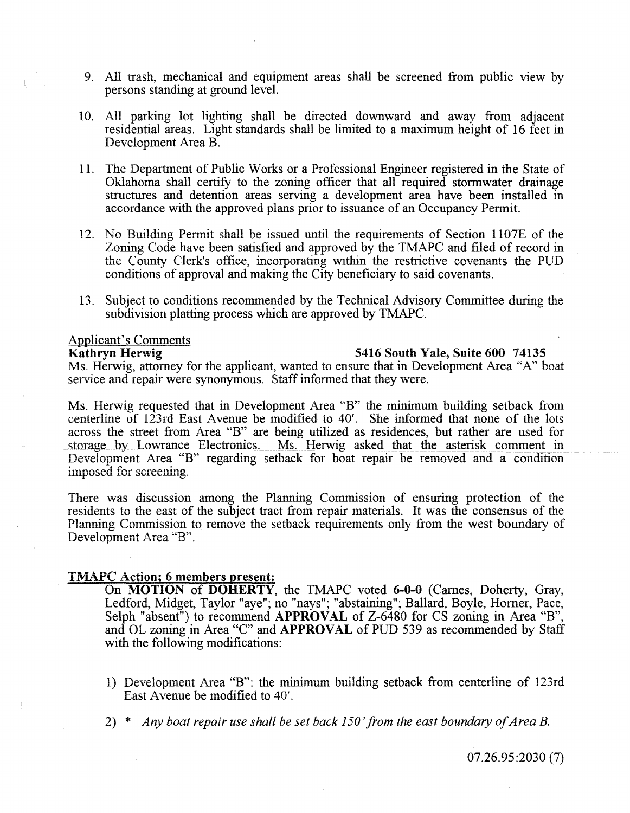- 9. All trash, mechanical and equipment areas shall be screened from public view by persons standing at ground level.
- 10. All parking lot lighting shall be directed downward and away from adjacent residential areas. Light standards shall be limited to a maximum height of 16 feet in Development Area B.
- 11. The Department of Pubiic Works or a Professional Engineer registered in the State of Oklahoma shall certify to the zoning officer that all required stormwater drainage structures and detention areas serving a development area have been installed in accordance with the approved plans prior to issuance of an Occupancy Permit.
- 12. No Building Permit shall be issued until the requirements of Section 1107E of the Zoning Code have been satisfied and approved by the TMAPC and filed of record in the County Clerk's office, incorporating within the restrictive covenants the PUD conditions of approval and making the City beneficiary to said covenants.
- 13. Subject to conditions recommended by the Technical Advisory Committee during the subdivision platting process which are approved by TMAPC.

# Applicant's Comments<br>Kathryn Herwig

#### 5416 South Yale, Suite 600 74135

Ms. Herwig, attorney for the applicant, wanted to ensure that in Development Area "A" boat service and repair were synonymous. Staff informed that they were.

Ms. Herwig requested that in Development Area "B" the minimum building setback from centerline of 123rd East Avenue be modified to 40'. She informed that none of the lots across the street from Area "B" are being utilized as residences, but rather are used for storage by Lowrance Electronics. Ms. Herwig asked that the asterisk comment in Development Area "B" regarding setback for boat repair be removed and a condition imposed for screening.

There was discussion among the Planning Commission of ensuring protection of the residents to the east of the subject tract from repair materials. It was the consensus of the Planning Commission to remove the setback requirements only from the west boundary of Development Area "B".

#### TMAPC Action; 6 members present:

On MOTION of DOHERTY, the TMAPC voted 6-0-0 (Carnes, Doherty, Gray, Ledford, Midget, Taylor "aye"; no "nays"; "abstaining"; Ballard, Boyle, Homer, Pace, Selph "absent") to recommend APPROVAL of Z-6480 for CS zoning in Area "B", and OL zoning in Area "C" and APPROVAL of PUD 539 as recommended by Staff with the following modifications:

- 1) Development Area "B": the minimum building setback from centerline of 123rd East Avenue be modified to 40'.
- 2) \* *Any boat repair use shall be set back 150 'from the east boundary of Area B.*

07.26.95:2030 (7)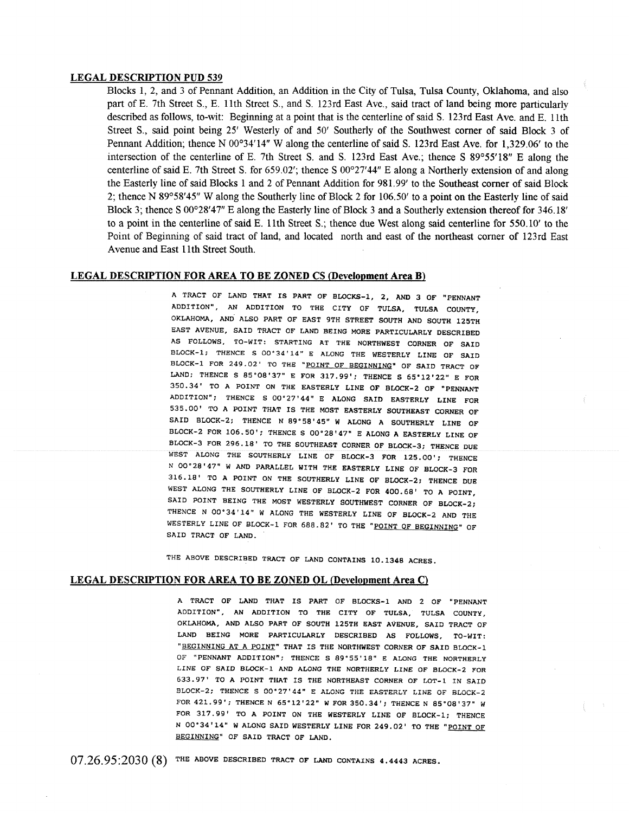#### LEGAL DESCRIPTION PUD 539

Blocks 1, 2, and 3 of Pennant Addition, an Addition in the City of Tulsa, Tulsa County, Oklahoma, and also part of E. 7th Street S., E. 11th Street S., and S. 123rd East Ave., said tract of land being more particularly described as follows, to-wit: Beginning at a point that is the centerline of said S. 123rd East Ave. and E. 11th Street S., said point being 25' Westerly of and 50' Southerly of the Southwest corner of said Block 3 of Pennant Addition; thence N 00°34'14" W along the centerline of said S. 123rd East Ave. for 1,329.06' to the intersection of the centerline of E. 7th Street S. and S. 123rd East Ave.; thence S 89°55'18" E along the centerline of said E. 7th Street S. for 659.02'; thence S 00°27'44" E along a Northerly extension of and along the Easterly line of said Blocks 1 and 2 of Pennant Addition for 981. 99' to the Southeast corner of said Block 2; thence N 89°58'45" W along the Southerly line of Block 2 for 106.50' to a point on the Easterly line of said Block 3; thence S 00°28'47" E along the Easterly line of Block 3 and a Southerly extension thereof for 346.18' to a point in the centerline of said E. 11th Street S.; thence due West along said centerline for 550.10' to the Point of Beginning of said tract of land, and located north and east of the northeast corner of 123rd East Avenue and East 11th Street South.

#### LEGAL DESCRIPTION FOR AREA TO BE ZONED CS (Development Area B)

A TRACT OF LAND THAT IS PART OF BLOCKS-1, 2, AND 3 OF "PENNANT ADDITION", AN ADDITION TO THE CITY OF TULSA, TULSA COUNTY, OKLAHOMA, AND ALSO PART OF EAST 9TH STREET SOUTH AND SOUTH 125TH EAST AVENUE, SAID TRACT OF LAND BEING MORE PARTICULARLY DESCRIBED AS FOLLOWS, TO-WIT: STARTING AT THE NORTHWEST CORNER OF SAID BLOCK-1; THENCE S 00'34'14" E ALONG THE WESTERLY LINE OF SAID BLOCK-1 FOR 249.02' TO THE "POINT OF BEGINNING" OF SAID TRACT OF LAND; THENCE S 85'08'37" E FOR 317.99'; THENCE S 65'12'22" E FOR 350.34' TO A POINT ON THE EASTERLY LINE OF BLOCK-2 OF "PENNANT ADDITION"; THENCE S 00'27'44" E ALONG SAID EASTERLY LINE FOR 535.00' TO A POINT THAT IS THE MOST EASTERLY SOUTHEAST CORNER OF SAID BLOCK-2; THENCE N 89°58'45" W ALONG A SOUTHERLY LINE OF BLOCK-2 FOR 106.50'; THENCE S 00'28'47" E ALONG A EASTERLY LINE OF BLOCK-3 FOR 296.18' TO THE SOUTHEAST CORNER OF BLOCK-3; THENCE DUE WEST ALONG THE SOUTHERLY LINE OF BLOCK-3 FOR 125.00'; THENCE N 00'28'47" W AND PARALLEL WITH THE EASTERLY LINE OF BLOCK-3 FOR 316.18' TO A POINT ON THE SOUTHERLY LINE OF BLOCK-2; THENCE DUE WEST ALONG THE SOUTHERLY LINE OF BLOCK-2 FOR 400.68' TO A POINT, SAID POINT BEING THE MOST WESTERLY SOUTHWEST CORNER OF BLOCK-2; THENCE N 00'34'14" W ALONG THE WESTERLY LINE OF BLOCK-2 AND THE WESTERLY LINE OF BLOCK-1 FOR 688.82' TO THE "POINT OF BEGINNING" OF SAID TRACT OF LAND.

THE ABOVE DESCRIBED TRACT OF LAND CONTAINS 10.1348 ACRES.

#### LEGAL DESCRIPTION FOR AREA TO BE ZONED OL (Development Area C)

A TRACT OF LAND THAT IS PART OF BLOCKS-I AND 2 OF "PENNANT ADDITION", AN ADDITION TO THE CITY OF TULSA, TULSA COUNTY, OKLAHOMA, AND ALSO PART OF SOUTH 125TH EAST AVENUE, SAID TRACT OF LAND BEING MORE PARTICULARLY DESCRIBED AS FOLLOWS, TO-WIT: "BEGINNING AT A POINT" THAT IS THE NORTHWEST CORNER OF SAID BLOCK-1 OF "PENNANT ADDITION"; THENCE S 89'55' 18" E ALONG THE NORTHERLY LINE OF SAID BLOCK-1 AND ALONG THE NORTHERLY LINE OF BLOCK-2 FOR 633.97' TO A POINT THAT IS THE NORTHEAST CORNER OF LOT-1 IN SAID BLOCK-2; THENCE S 00°27'44" E ALONG THE EASTERLY LINE OF BLOCK-2 FOR 421.99'; THENCE N 65"12'22" W FOR 350.34'; THENCE N 85'08'37" W FOR 317.99' TO A POINT ON THE WESTERLY LINE OF BLOCK-1; THENCE N 00°34'14" W ALONG SAID WESTERLY LINE FOR 249.02' TO THE "POINT OF BEGINNING" OF SAID TRACT OF LAND.

07.26.95:2030 (8) THE ABOVE DESCRIBED TRACT OF LAND CONTAINS 4.4443 ACRES.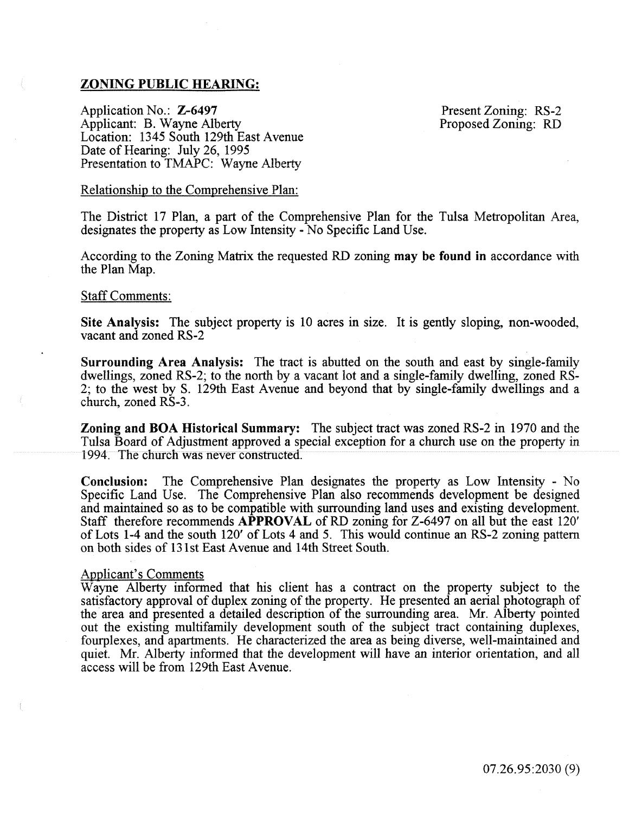## ZONING PUBLIC HEARING:

Application No.: Z-6497 Applicant: B. Wayne Alberty Location: 1345 South 129th East Avenue Date of Hearing: July 26, 1995 Presentation to TMAPC: Wayne Alberty

Present Zoning: RS-2 Proposed Zoning: RD

#### Relationship to the Comprehensive Plan:

The District 17 Plan, a part of the Comprehensive Plan for the Tulsa Metropolitan Area, designates the property as Low Intensity- No Specific Land Use.

According to the Zoning Matrix the requested RD zoning may be found in accordance with the Plan Map.

#### Staff Comments:

Site Analysis: The subject property is 10 acres in size. It is gently sloping, non-wooded, vacant and zoned RS-2

Surrounding Area Analysis: The tract is abutted on the south and east by single-family dwellings, zoned RS-2; to the north by a vacant lot and a single-family dwelling, zoned RS-2; to the west by S. 129th East Avenue and beyond that by single-family dwellings and a church, zoned RS-3.

Zoning and BOA Historical Summary: The subject tract was zoned RS-2 in 1970 and the Tulsa Board of Adjustment approved a special exception for a church use on the property in 1994. The church was never constructed.

Conclusion: The Comprehensive Plan designates the property as Low Intensity - No Specific Land Use. The Comprehensive Plan also recommends development be designed and maintained so as to be compatible with surrounding land uses and existing development. Staff therefore recommends APPROVAL of RD zoning for Z-6497 on all but the east 120' of Lots 1-4 and the south 120' of Lots 4 and 5. This would continue an RS-2 zoning pattern on both sides of 131st East Avenue and 14th Street South.

#### Applicant's Comments

Wayne Alberty informed that his client has a contract on the property subject to the satisfactory approval of duplex zoning of the property. He presented an aerial photograph of the area and presented a detailed description of the surrounding area. Mr. Alberty pointed out the existing multifamily development south of the subject tract containing duplexes, fourplexes, and apartments. He characterized the area as being diverse, well-maintained and quiet. Mr. Alberty informed that the development will have an interior orientation, and all access will be from 129th East Avenue.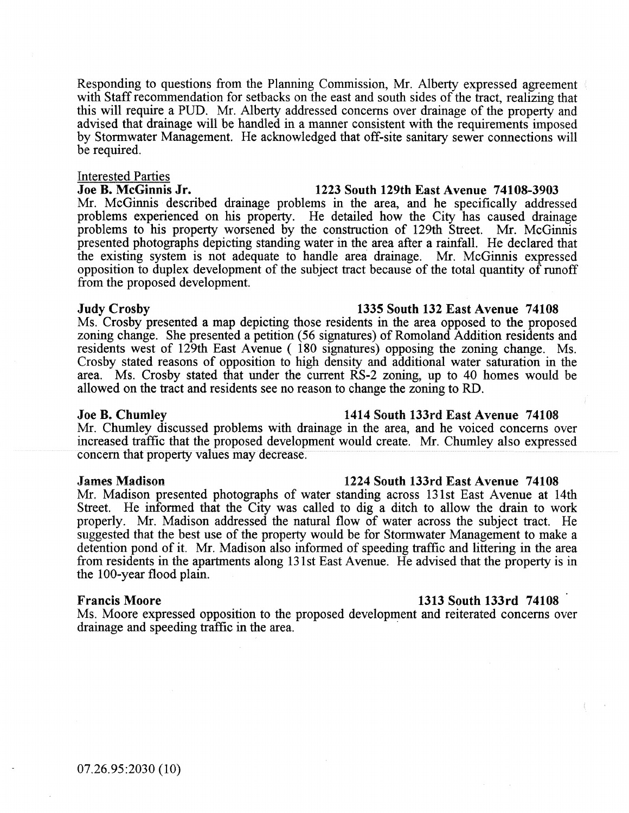Responding to questions from the Planning Commission, Mr. Alberty expressed agreement with Staff recommendation for setbacks on the east and south sides of the tract, realizing that this will require a PUD. Mr. Alberty addressed concerns over drainage of the property and advised that drainage will be handled in a manner consistent with the requirements imposed by Stormwater Management. He acknowledged that off-site sanitary sewer connections will be required.

# Interested Parties<br>Joe B. McGinnis Jr.

Mr. McGinnis described drainage problems in the area, and he specifically addressed problems experienced on his property. He detailed how the City has caused drainage problems to his property worsened by the construction of 129th Street. Mr. McGinnis presented photographs depicting standing water in the area after a rainfall. He declared that the existing system is not adequate to handle area drainage. Mr. McGinnis expressed opposition to duplex development of the subject tract because of the total quantity of runoff from the proposed development.

#### Judy Crosby 1335 South 132 East Avenue 74108

Ms. Crosby presented a map depicting those residents in the area opposed to the proposed zoning change. She presented a petition (56 signatures) of Romoland Addition residents and residents west of 129th East Avenue ( 180 signatures) opposing the zoning change. Ms. Crosby stated reasons of opposition to high density and additional water saturation in the area. Ms. Crosby stated that under the current RS-2 zoning, up to 40 homes would be allowed on the tract and residents see no reason to change the zoning to RD.

Mr. Chumley discussed problems with drainage in the area, and he voiced concerns over increased traffic that the proposed development would create. Mr. Chumley also expressed concern that property values may decrease.

#### James Madison 1224 South 133rd East Avenue 74108

Mr. Madison presented photographs of water standing across 131st East Avenue at 14th Street. He informed that the City was called to dig a ditch to allow the drain to work properly. Mr. Madison addressed the natural flow of water across the subject tract. He suggested that the best use of the property would be for Stormwater Management to make a detention pond of it. Mr. Madison also informed of speeding traffic and littering in the area from residents in the apartments along 131st East Avenue. He advised that the property is in the 100-year flood plain.

Ms. Moore expressed opposition to the proposed development and reiterated concerns over drainage and speeding traffic in the area.

#### Joe B. Chumley 1414 South 133rd East Avenue 74108

### Francis Moore 1313 South 133rd 74108

# 1223 South 129th East Avenue 74108-3903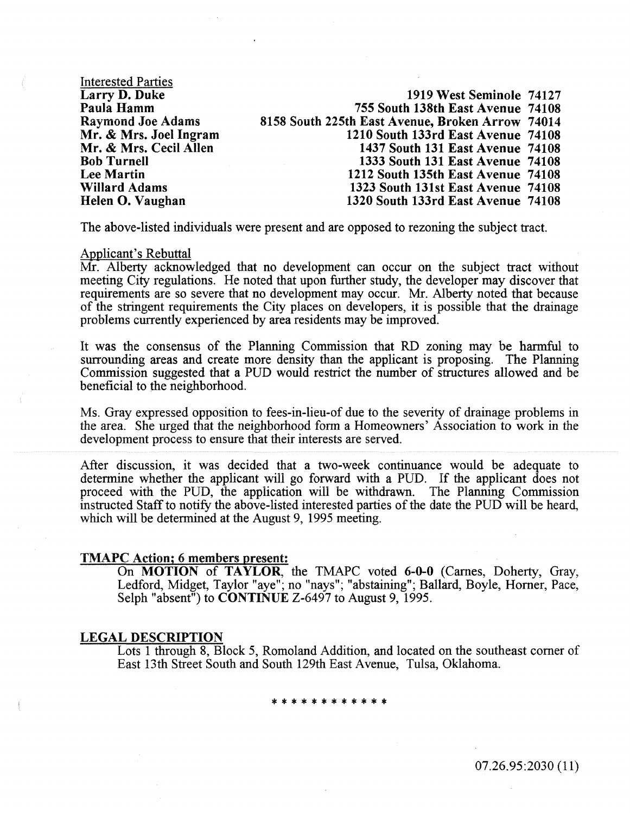Interested Parties Larry D. Duke Paula Hamm Raymond Joe Adams Mr. & Mrs. Joel Ingram Mr. & Mrs. Cecil Allen Bob Turnell Lee Martin Willard Adams Helen 0. Vaughan

1919 West Seminole 74127 755 South 138th East Avenue 74108 8158 South 225tb East Avenue, Broken Arrow 74014 1210 South 133rd East Avenue 74108 1437 South 131 East Avenue 74108 1333 South 131 East Avenue 74108 1212 South 135th East Avenue 74108 1323 South 131st East Avenue 74108 1320 South 133rd East Avenue 74108

The above-listed individuals were present and are opposed to rezoning the subject tract.

#### Applicant's Rebuttal

Mr. Alberty acknowledged that no development can occur on the subject tract without meeting City regulations. He noted that upon further study, the developer may discover that requirements are so severe that no development may occur. Mr. Alberty noted that because of the stringent requirements the City places on developers, it is possible that the drainage problems currently experienced by area residents may be improved.

It was the consensus of the Planning Commission that RD zoning may be harmful to surrounding areas and create more density than the applicant is proposing. The Planning Commission suggested that a PUD would restrict the number of structures allowed and be beneficial to the neighborhood.

Ms. Gray expressed opposition to fees-in-lieu-of due to the severity of drainage problems in the area. She urged that the neighborhood form a Homeowners' Association to work in the development process to ensure that their interests are served.

After discussion, it was decided that a two-week continuance would be adequate to detennine whether the applicant will go forward with a PUD. If the applicant does not proceed with the PUD, the application wili be withdrawn. The Planning Commission instructed Staff to notify the above-listed interested parties of the date the PUD will be heard, which will be determined at the August 9, 1995 meeting.

#### TMAPC Action; 6 members present:

On MOTION of TAYLOR, the TMAPC voted 6-0-0 (Carnes, Doherty, Gray, Ledford, Midget, Taylor "aye"; no "nays"; "abstaining"; Ballard, Boyle, Homer, Pace, Selph "absent") to **CONTINUE** Z-6497 to August 9, 1995.

#### LEGAL DESCRIPTION

Lots 1 through 8, Block 5, Romoland Addition, and located on the southeast comer of East 13th Street South and South 129th East Avenue, Tulsa, Oklahoma.

\* \* \* \* \* \* \* \* \* \* \*

07.26.95:2030 (11)